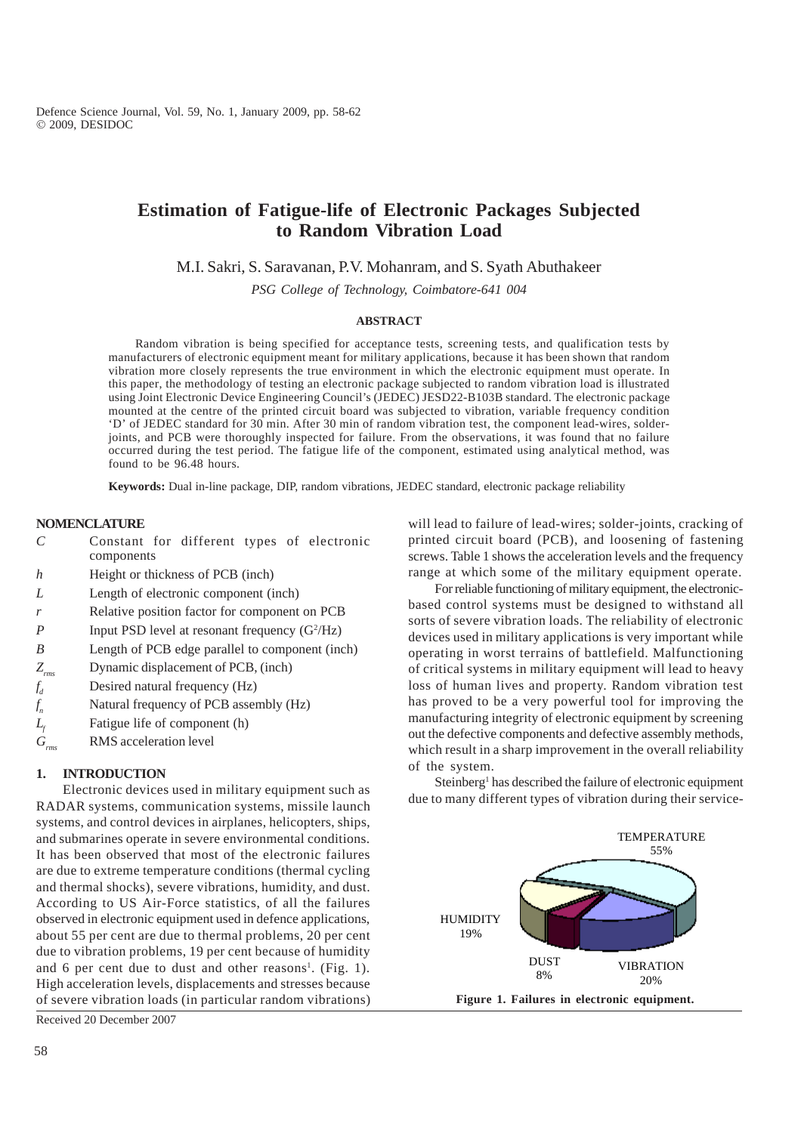# **Estimation of Fatigue-life of Electronic Packages Subjected to Random Vibration Load**

M.I. Sakri, S. Saravanan, P.V. Mohanram, and S. Syath Abuthakeer

*PSG College of Technology, Coimbatore-641 004*

#### **ABSTRACT**

Random vibration is being specified for acceptance tests, screening tests, and qualification tests by manufacturers of electronic equipment meant for military applications, because it has been shown that random vibration more closely represents the true environment in which the electronic equipment must operate. In this paper, the methodology of testing an electronic package subjected to random vibration load is illustrated using Joint Electronic Device Engineering Council's (JEDEC) JESD22-B103B standard. The electronic package mounted at the centre of the printed circuit board was subjected to vibration, variable frequency condition 'D' of JEDEC standard for 30 min. After 30 min of random vibration test, the component lead-wires, solderjoints, and PCB were thoroughly inspected for failure. From the observations, it was found that no failure occurred during the test period. The fatigue life of the component, estimated using analytical method, was found to be 96.48 hours.

**Keywords:** Dual in-line package, DIP, random vibrations, JEDEC standard, electronic package reliability

## **NOMENCLATURE**

- *C* Constant for different types of electronic components
- *h* Height or thickness of PCB (inch)
- *L* Length of electronic component (inch)
- *r* Relative position factor for component on PCB
- *P* Input PSD level at resonant frequency (G<sup>2</sup>/Hz)
- *B* Length of PCB edge parallel to component (inch)
- *Zrms* Dynamic displacement of PCB, (inch)
- *f* Desired natural frequency (Hz)
- *<sup>n</sup>* Natural frequency of PCB assembly (Hz)
- $f_n$ <br> $L_f$ Fatigue life of component (h)
- *Grms* RMS acceleration level

# **1. INTRODUCTION**

Electronic devices used in military equipment such as RADAR systems, communication systems, missile launch systems, and control devices in airplanes, helicopters, ships, and submarines operate in severe environmental conditions. It has been observed that most of the electronic failures are due to extreme temperature conditions (thermal cycling and thermal shocks), severe vibrations, humidity, and dust. According to US Air-Force statistics, of all the failures observed in electronic equipment used in defence applications, about 55 per cent are due to thermal problems, 20 per cent due to vibration problems, 19 per cent because of humidity and 6 per cent due to dust and other reasons<sup>1</sup>. (Fig. 1). High acceleration levels, displacements and stresses because of severe vibration loads (in particular random vibrations)

Received 20 December 2007

will lead to failure of lead-wires; solder-joints, cracking of printed circuit board (PCB), and loosening of fastening screws. Table 1 shows the acceleration levels and the frequency range at which some of the military equipment operate.

For reliable functioning of military equipment, the electronicbased control systems must be designed to withstand all sorts of severe vibration loads. The reliability of electronic devices used in military applications is very important while operating in worst terrains of battlefield. Malfunctioning of critical systems in military equipment will lead to heavy loss of human lives and property. Random vibration test has proved to be a very powerful tool for improving the manufacturing integrity of electronic equipment by screening out the defective components and defective assembly methods, which result in a sharp improvement in the overall reliability of the system.

Steinberg<sup>1</sup> has described the failure of electronic equipment due to many different types of vibration during their service-

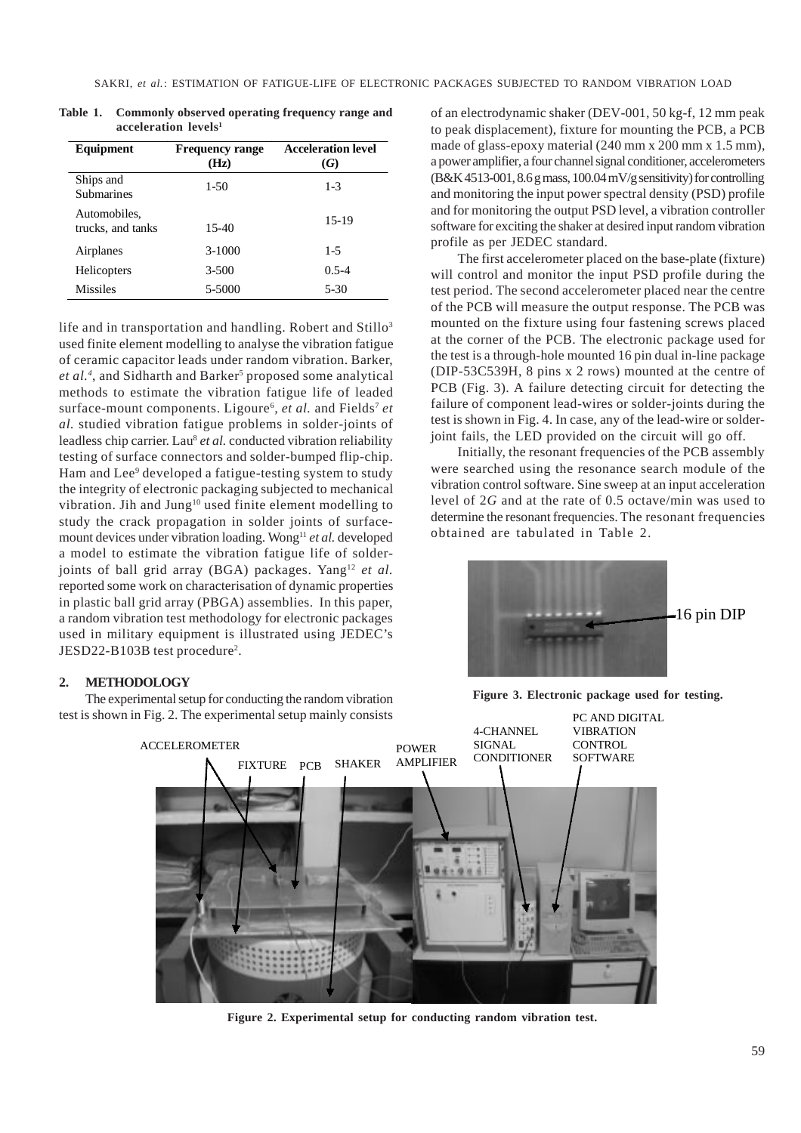| Equipment                         | <b>Frequency range</b><br>(Hz) | <b>Acceleration level</b><br>(G) |
|-----------------------------------|--------------------------------|----------------------------------|
| Ships and<br><b>Submarines</b>    | $1-50$                         | $1 - 3$                          |
| Automobiles.<br>trucks, and tanks | $15-40$                        | 15-19                            |
| Airplanes                         | $3-1000$                       | $1 - 5$                          |
| Helicopters                       | $3 - 500$                      | $0.5 - 4$                        |
| <b>Missiles</b>                   | 5-5000                         | $5 - 30$                         |

**Table 1. Commonly observed operating frequency range and acceleration levels1**

life and in transportation and handling. Robert and  $Stillo<sup>3</sup>$ used finite element modelling to analyse the vibration fatigue of ceramic capacitor leads under random vibration. Barker, et al.<sup>4</sup>, and Sidharth and Barker<sup>5</sup> proposed some analytical methods to estimate the vibration fatigue life of leaded surface-mount components. Ligoure<sup>6</sup>, et al. and Fields<sup>7</sup> et *al.* studied vibration fatigue problems in solder-joints of leadless chip carrier. Lau<sup>8</sup> et al. conducted vibration reliability testing of surface connectors and solder-bumped flip-chip. Ham and Lee<sup>9</sup> developed a fatigue-testing system to study the integrity of electronic packaging subjected to mechanical vibration. Jih and Jung<sup>10</sup> used finite element modelling to study the crack propagation in solder joints of surfacemount devices under vibration loading. Wong<sup>11</sup> et al. developed a model to estimate the vibration fatigue life of solderjoints of ball grid array (BGA) packages. Yang<sup>12</sup> et al. reported some work on characterisation of dynamic properties in plastic ball grid array (PBGA) assemblies. In this paper, a random vibration test methodology for electronic packages used in military equipment is illustrated using JEDEC's JESD22-B103B test procedure<sup>2</sup>.

## **2. METHODOLOGY**

The experimental setup for conducting the random vibration test is shown in Fig. 2. The experimental setup mainly consists of an electrodynamic shaker (DEV-001, 50 kg-f, 12 mm peak to peak displacement), fixture for mounting the PCB, a PCB made of glass-epoxy material (240 mm x 200 mm x 1.5 mm), a power amplifier, a four channel signal conditioner, accelerometers (B&K 4513-001, 8.6 g mass, 100.04 mV/g sensitivity) for controlling and monitoring the input power spectral density (PSD) profile and for monitoring the output PSD level, a vibration controller software for exciting the shaker at desired input random vibration profile as per JEDEC standard.

The first accelerometer placed on the base-plate (fixture) will control and monitor the input PSD profile during the test period. The second accelerometer placed near the centre of the PCB will measure the output response. The PCB was mounted on the fixture using four fastening screws placed at the corner of the PCB. The electronic package used for the test is a through-hole mounted 16 pin dual in-line package (DIP-53C539H, 8 pins x 2 rows) mounted at the centre of PCB (Fig. 3). A failure detecting circuit for detecting the failure of component lead-wires or solder-joints during the test is shown in Fig. 4. In case, any of the lead-wire or solderjoint fails, the LED provided on the circuit will go off.

Initially, the resonant frequencies of the PCB assembly were searched using the resonance search module of the vibration control software. Sine sweep at an input acceleration level of 2*G* and at the rate of 0.5 octave/min was used to determine the resonant frequencies. The resonant frequencies obtained are tabulated in Table 2.



**Figure 3. Electronic package used for testing.**



**Figure 2. Experimental setup for conducting random vibration test.**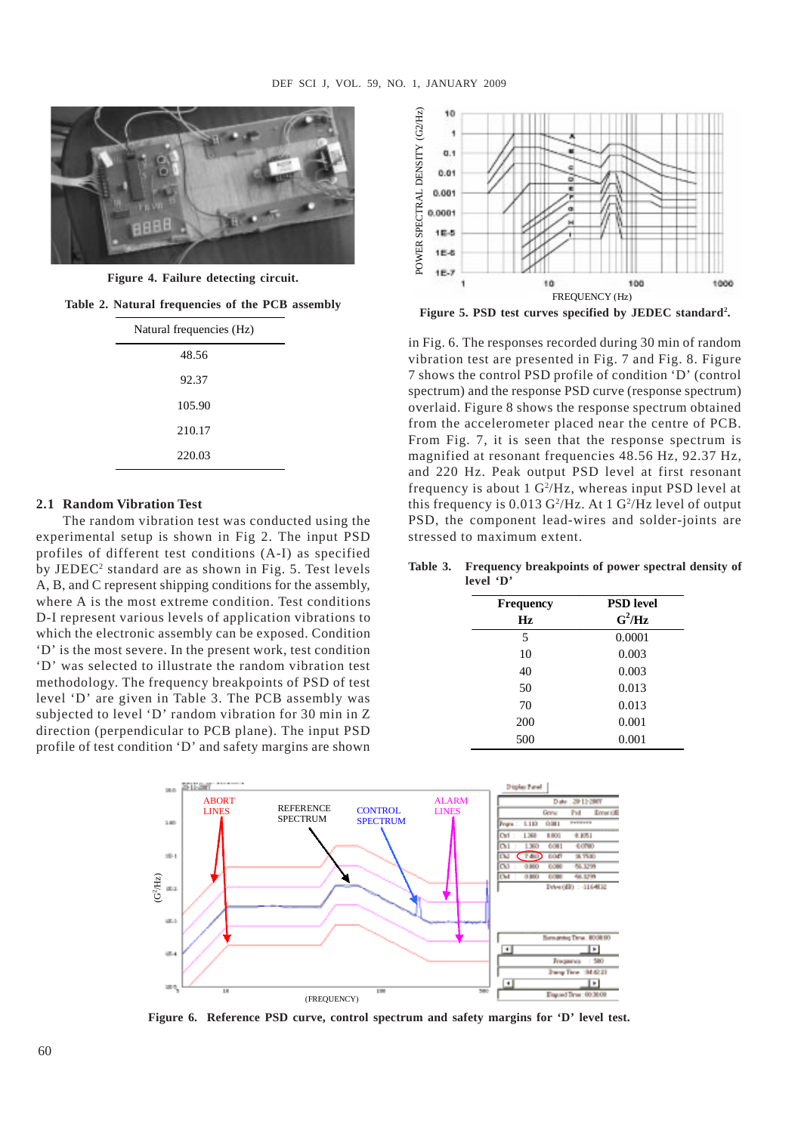

**Figure 4. Failure detecting circuit.**

**Table 2. Natural frequencies of the PCB assembly**

| Natural frequencies (Hz) |  |  |
|--------------------------|--|--|
| 48.56                    |  |  |
| 92.37                    |  |  |
| 105.90                   |  |  |
| 210.17                   |  |  |
| 220.03                   |  |  |
|                          |  |  |

### **2.1 Random Vibration Test**

The random vibration test was conducted using the experimental setup is shown in Fig 2. The input PSD profiles of different test conditions (A-I) as specified by JEDEC2 standard are as shown in Fig. 5. Test levels A, B, and C represent shipping conditions for the assembly, where A is the most extreme condition. Test conditions D-I represent various levels of application vibrations to which the electronic assembly can be exposed. Condition 'D' is the most severe. In the present work, test condition 'D' was selected to illustrate the random vibration test methodology. The frequency breakpoints of PSD of test level 'D' are given in Table 3. The PCB assembly was subjected to level 'D' random vibration for 30 min in Z direction (perpendicular to PCB plane). The input PSD profile of test condition 'D' and safety margins are shown



**Figure 5. PSD test curves specified by JEDEC standard2 .**

in Fig. 6. The responses recorded during 30 min of random vibration test are presented in Fig. 7 and Fig. 8. Figure 7 shows the control PSD profile of condition 'D' (control spectrum) and the response PSD curve (response spectrum) overlaid. Figure 8 shows the response spectrum obtained from the accelerometer placed near the centre of PCB. From Fig. 7, it is seen that the response spectrum is magnified at resonant frequencies 48.56 Hz, 92.37 Hz, and 220 Hz. Peak output PSD level at first resonant frequency is about 1 G<sup>2</sup>/Hz, whereas input PSD level at this frequency is 0.013 G<sup>2</sup>/Hz. At 1 G<sup>2</sup>/Hz level of output PSD, the component lead-wires and solder-joints are stressed to maximum extent.

**Table 3. Frequency breakpoints of power spectral density of level 'D'**

| <b>Frequency</b> | <b>PSD</b> level |
|------------------|------------------|
| Hz               | $G^2/Hz$         |
| 5                | 0.0001           |
| 10               | 0.003            |
| 40               | 0.003            |
| 50               | 0.013            |
| 70               | 0.013            |
| 200              | 0.001            |
| 500              | 0.001            |



**Figure 6. Reference PSD curve, control spectrum and safety margins for 'D' level test.**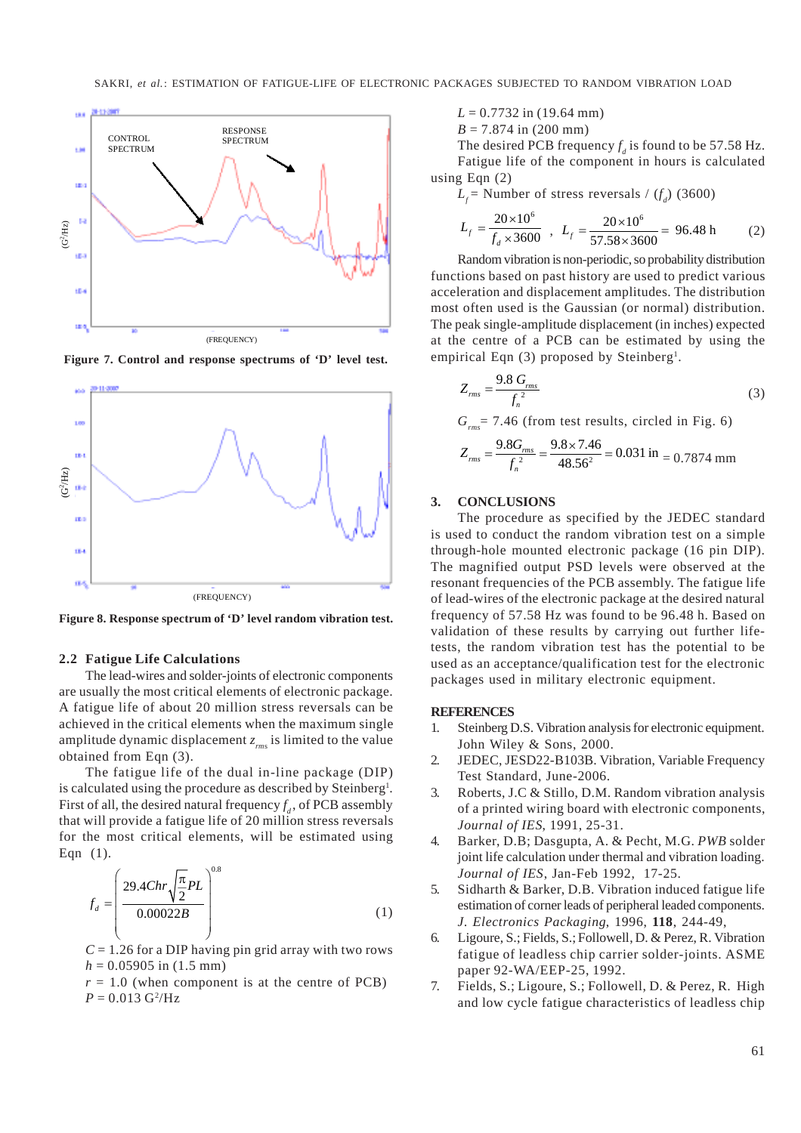

**Figure 7. Control and response spectrums of 'D' level test.**



**Figure 8. Response spectrum of 'D' level random vibration test.**

### **2.2 Fatigue Life Calculations**

The lead-wires and solder-joints of electronic components are usually the most critical elements of electronic package. A fatigue life of about 20 million stress reversals can be achieved in the critical elements when the maximum single amplitude dynamic displacement  $z_{\text{rms}}$  is limited to the value obtained from Eqn (3).

The fatigue life of the dual in-line package (DIP) is calculated using the procedure as described by Steinberg<sup>1</sup>. First of all, the desired natural frequency  $f_d$ , of PCB assembly that will provide a fatigue life of 20 million stress reversals for the most critical elements, will be estimated using Eqn (1).

$$
f_d = \left(\frac{29.4Chr\sqrt{\frac{\pi}{2}}PL}{0.00022B}\right)^{0.8}
$$
 (1)

 $C = 1.26$  for a DIP having pin grid array with two rows  $h = 0.05905$  in  $(1.5$  mm)

 $r = 1.0$  (when component is at the centre of PCB)  $P = 0.013 \text{ G}^2/\text{Hz}$ 

 $L = 0.7732$  in (19.64 mm)

$$
B = 7.874
$$
 in (200 mm)

The desired PCB frequency  $f_d$  is found to be 57.58 Hz. Fatigue life of the component in hours is calculated using Eqn (2)

 $L_f$  = Number of stress reversals /  $(f_d)$  (3600)

$$
L_f = \frac{20 \times 10^6}{f_d \times 3600} , L_f = \frac{20 \times 10^6}{57.58 \times 3600} = 96.48 \text{ h}
$$
 (2)

Random vibration is non-periodic, so probability distribution functions based on past history are used to predict various acceleration and displacement amplitudes. The distribution most often used is the Gaussian (or normal) distribution. The peak single-amplitude displacement (in inches) expected at the centre of a PCB can be estimated by using the empirical Eqn (3) proposed by Steinberg<sup>1</sup>.

$$
Z_{\text{rms}} = \frac{9.8 \ G_{\text{rms}}}{f_n^2} \tag{3}
$$

 $G_{\text{max}}$  = 7.46 (from test results, circled in Fig. 6)

$$
Z_{\text{rms}} = \frac{9.8G_{\text{rms}}}{f_{\text{n}}^2} = \frac{9.8 \times 7.46}{48.56^2} = 0.031 \text{ in } = 0.7874 \text{ mm}
$$

## **3. CONCLUSIONS**

The procedure as specified by the JEDEC standard is used to conduct the random vibration test on a simple through-hole mounted electronic package (16 pin DIP). The magnified output PSD levels were observed at the resonant frequencies of the PCB assembly. The fatigue life of lead-wires of the electronic package at the desired natural frequency of 57.58 Hz was found to be 96.48 h. Based on validation of these results by carrying out further lifetests, the random vibration test has the potential to be used as an acceptance/qualification test for the electronic packages used in military electronic equipment.

## **REFERENCES**

- 1. Steinberg D.S. Vibration analysis for electronic equipment. John Wiley & Sons, 2000.
- 2. JEDEC, JESD22-B103B. Vibration, Variable Frequency Test Standard, June-2006.
- 3. Roberts, J.C & Stillo, D.M. Random vibration analysis of a printed wiring board with electronic components, *Journal of IES*, 1991, 25-31.
- 4. Barker, D.B; Dasgupta, A. & Pecht, M.G. *PWB* solder joint life calculation under thermal and vibration loading. *Journal of IES*, Jan-Feb 1992, 17-25.
- 5. Sidharth & Barker, D.B. Vibration induced fatigue life estimation of corner leads of peripheral leaded components. *J. Electronics Packaging*, 1996, **118**, 244-49,
- 6. Ligoure, S.; Fields, S.; Followell, D. & Perez, R. Vibration fatigue of leadless chip carrier solder-joints. ASME paper 92-WA/EEP-25, 1992.
- 7. Fields, S.; Ligoure, S.; Followell, D. & Perez, R. High and low cycle fatigue characteristics of leadless chip